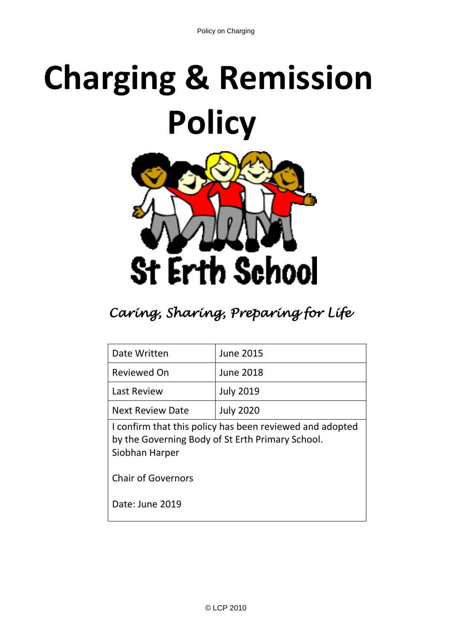# **Charging & Remission Policy**



# *Caring, Sharing, Preparing for Life*

| Date Written                                                                                                                   | <b>June 2015</b> |
|--------------------------------------------------------------------------------------------------------------------------------|------------------|
| Reviewed On                                                                                                                    | <b>June 2018</b> |
| <b>Last Review</b>                                                                                                             | <b>July 2019</b> |
| <b>Next Review Date</b>                                                                                                        | <b>July 2020</b> |
| I confirm that this policy has been reviewed and adopted<br>by the Governing Body of St Erth Primary School.<br>Siobhan Harper |                  |
| <b>Chair of Governors</b>                                                                                                      |                  |
| Date: June 2019                                                                                                                |                  |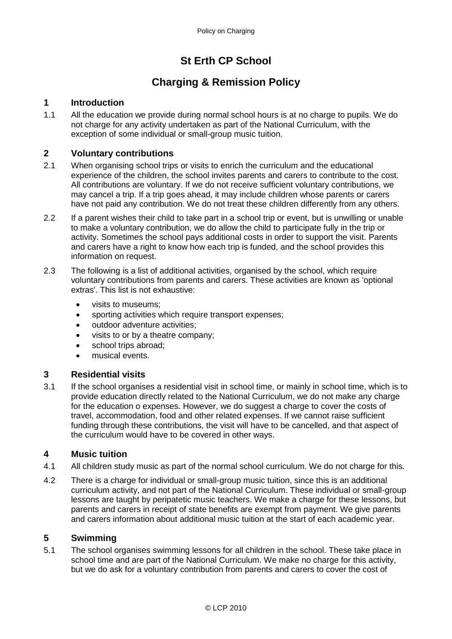## **St Erth CP School**

### **Charging & Remission Policy**

#### **1 Introduction**

1.1 All the education we provide during normal school hours is at no charge to pupils. We do not charge for any activity undertaken as part of the National Curriculum, with the exception of some individual or small-group music tuition.

#### **2 Voluntary contributions**

- 2.1 When organising school trips or visits to enrich the curriculum and the educational experience of the children, the school invites parents and carers to contribute to the cost. All contributions are voluntary. If we do not receive sufficient voluntary contributions, we may cancel a trip. If a trip goes ahead, it may include children whose parents or carers have not paid any contribution. We do not treat these children differently from any others.
- 2.2 If a parent wishes their child to take part in a school trip or event, but is unwilling or unable to make a voluntary contribution, we do allow the child to participate fully in the trip or activity. Sometimes the school pays additional costs in order to support the visit. Parents and carers have a right to know how each trip is funded, and the school provides this information on request.
- 2.3 The following is a list of additional activities, organised by the school, which require voluntary contributions from parents and carers. These activities are known as 'optional extras'. This list is not exhaustive:
	- visits to museums;
	- sporting activities which require transport expenses;
	- outdoor adventure activities;
	- visits to or by a theatre company;
	- school trips abroad;
	- musical events.

#### **3 Residential visits**

3.1 If the school organises a residential visit in school time, or mainly in school time, which is to provide education directly related to the National Curriculum, we do not make any charge for the education o expenses. However, we do suggest a charge to cover the costs of travel, accommodation, food and other related expenses. If we cannot raise sufficient funding through these contributions, the visit will have to be cancelled, and that aspect of the curriculum would have to be covered in other ways.

#### **4 Music tuition**

- 4.1 All children study music as part of the normal school curriculum. We do not charge for this.
- 4.2 There is a charge for individual or small-group music tuition, since this is an additional curriculum activity, and not part of the National Curriculum. These individual or small-group lessons are taught by peripatetic music teachers. We make a charge for these lessons, but parents and carers in receipt of state benefits are exempt from payment. We give parents and carers information about additional music tuition at the start of each academic year.

#### **5 Swimming**

5.1 The school organises swimming lessons for all children in the school. These take place in school time and are part of the National Curriculum. We make no charge for this activity, but we do ask for a voluntary contribution from parents and carers to cover the cost of